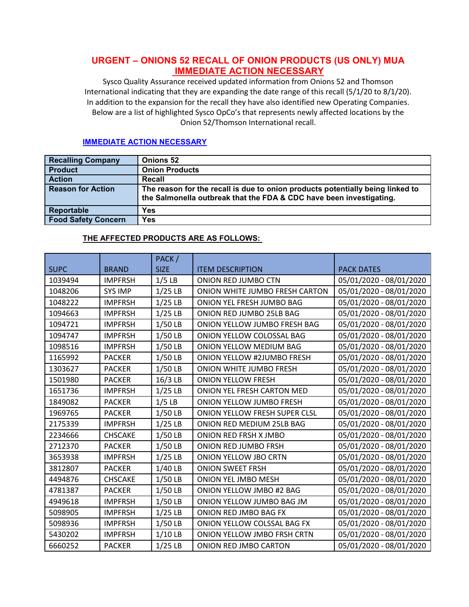# **URGENT – ONIONS 52 RECALL OF ONION PRODUCTS (US ONLY) MUA IMMEDIATE ACTION NECESSARY**

Sysco Quality Assurance received updated information from Onions 52 and Thomson International indicating that they are expanding the date range of this recall (5/1/20 to 8/1/20). In addition to the expansion for the recall they have also identified new Operating Companies. Below are a list of highlighted Sysco OpCo's that represents newly affected locations by the Onion 52/Thomson International recall.

### **IMMEDIATE ACTION NECESSARY**

| <b>Recalling Company</b>   | <b>Onions 52</b>                                                                                                                                      |
|----------------------------|-------------------------------------------------------------------------------------------------------------------------------------------------------|
| <b>Product</b>             | <b>Onion Products</b>                                                                                                                                 |
| <b>Action</b>              | Recall                                                                                                                                                |
| <b>Reason for Action</b>   | The reason for the recall is due to onion products potentially being linked to<br>the Salmonella outbreak that the FDA & CDC have been investigating. |
| <b>Reportable</b>          | Yes                                                                                                                                                   |
| <b>Food Safety Concern</b> | Yes                                                                                                                                                   |

## **THE AFFECTED PRODUCTS ARE AS FOLLOWS:**

|             |                | PACK/       |                                   |                         |
|-------------|----------------|-------------|-----------------------------------|-------------------------|
| <b>SUPC</b> | <b>BRAND</b>   | <b>SIZE</b> | <b>ITEM DESCRIPTION</b>           | <b>PACK DATES</b>       |
| 1039494     | <b>IMPFRSH</b> | $1/5$ LB    | ONION RED JUMBO CTN               | 05/01/2020 - 08/01/2020 |
| 1048206     | <b>SYS IMP</b> | $1/25$ LB   | ONION WHITE JUMBO FRESH CARTON    | 05/01/2020 - 08/01/2020 |
| 1048222     | <b>IMPFRSH</b> | $1/25$ LB   | ONION YEL FRESH JUMBO BAG         | 05/01/2020 - 08/01/2020 |
| 1094663     | <b>IMPFRSH</b> | $1/25$ LB   | ONION RED JUMBO 25LB BAG          | 05/01/2020 - 08/01/2020 |
| 1094721     | <b>IMPFRSH</b> | 1/50 LB     | ONION YELLOW JUMBO FRESH BAG      | 05/01/2020 - 08/01/2020 |
| 1094747     | <b>IMPFRSH</b> | 1/50 LB     | ONION YELLOW COLOSSAL BAG         | 05/01/2020 - 08/01/2020 |
| 1098516     | <b>IMPFRSH</b> | 1/50 LB     | ONION YELLOW MEDIUM BAG           | 05/01/2020 - 08/01/2020 |
| 1165992     | <b>PACKER</b>  | 1/50 LB     | <b>ONION YELLOW #2JUMBO FRESH</b> | 05/01/2020 - 08/01/2020 |
| 1303627     | <b>PACKER</b>  | 1/50 LB     | ONION WHITE JUMBO FRESH           | 05/01/2020 - 08/01/2020 |
| 1501980     | <b>PACKER</b>  | 16/3 LB     | <b>ONION YELLOW FRESH</b>         | 05/01/2020 - 08/01/2020 |
| 1651736     | <b>IMPFRSH</b> | $1/25$ LB   | ONION YEL FRESH CARTON MED        | 05/01/2020 - 08/01/2020 |
| 1849082     | <b>PACKER</b>  | $1/5$ LB    | ONION YELLOW JUMBO FRESH          | 05/01/2020 - 08/01/2020 |
| 1969765     | <b>PACKER</b>  | 1/50 LB     | ONION YELLOW FRESH SUPER CLSL     | 05/01/2020 - 08/01/2020 |
| 2175339     | <b>IMPFRSH</b> | $1/25$ LB   | ONION RED MEDIUM 25LB BAG         | 05/01/2020 - 08/01/2020 |
| 2234666     | CHSCAKE        | 1/50 LB     | ONION RED FRSH X JMBO             | 05/01/2020 - 08/01/2020 |
| 2712370     | <b>PACKER</b>  | 1/50 LB     | ONION RED JUMBO FRSH              | 05/01/2020 - 08/01/2020 |
| 3653938     | <b>IMPFRSH</b> | $1/25$ LB   | ONION YELLOW JBO CRTN             | 05/01/2020 - 08/01/2020 |
| 3812807     | <b>PACKER</b>  | 1/40 LB     | <b>ONION SWEET FRSH</b>           | 05/01/2020 - 08/01/2020 |
| 4494876     | CHSCAKE        | 1/50 LB     | <b>ONION YEL JMBO MESH</b>        | 05/01/2020 - 08/01/2020 |
| 4781387     | <b>PACKER</b>  | 1/50 LB     | ONION YELLOW JMBO #2 BAG          | 05/01/2020 - 08/01/2020 |
| 4949618     | <b>IMPFRSH</b> | 1/50 LB     | ONION YELLOW JUMBO BAG JM         | 05/01/2020 - 08/01/2020 |
| 5098905     | <b>IMPFRSH</b> | $1/25$ LB   | ONION RED JMBO BAG FX             | 05/01/2020 - 08/01/2020 |
| 5098936     | <b>IMPFRSH</b> | 1/50 LB     | ONION YELLOW COLSSAL BAG FX       | 05/01/2020 - 08/01/2020 |
| 5430202     | <b>IMPFRSH</b> | $1/10$ LB   | ONION YELLOW JMBO FRSH CRTN       | 05/01/2020 - 08/01/2020 |
| 6660252     | <b>PACKER</b>  | $1/25$ LB   | ONION RED JMBO CARTON             | 05/01/2020 - 08/01/2020 |